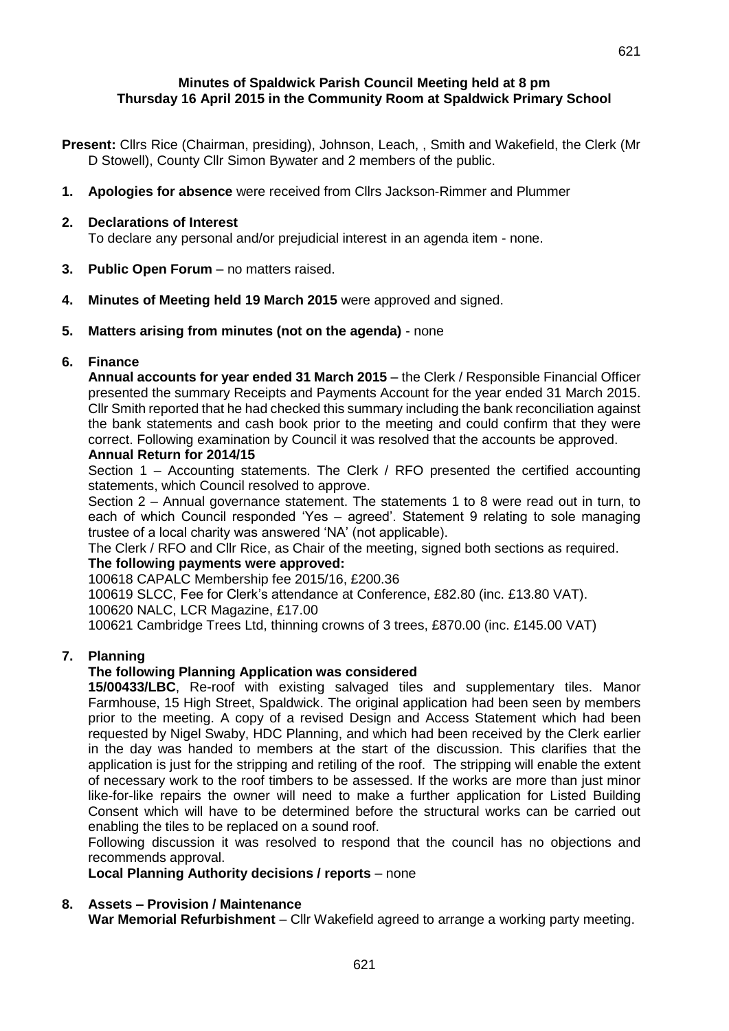#### **Minutes of Spaldwick Parish Council Meeting held at 8 pm Thursday 16 April 2015 in the Community Room at Spaldwick Primary School**

**Present:** Cllrs Rice (Chairman, presiding), Johnson, Leach, , Smith and Wakefield, the Clerk (Mr D Stowell), County Cllr Simon Bywater and 2 members of the public.

**1. Apologies for absence** were received from Cllrs Jackson-Rimmer and Plummer

#### **2. Declarations of Interest**

To declare any personal and/or prejudicial interest in an agenda item - none.

- **3. Public Open Forum**  no matters raised.
- **4. Minutes of Meeting held 19 March 2015** were approved and signed.
- **5. Matters arising from minutes (not on the agenda)** none

#### **6. Finance**

**Annual accounts for year ended 31 March 2015** – the Clerk / Responsible Financial Officer presented the summary Receipts and Payments Account for the year ended 31 March 2015. Cllr Smith reported that he had checked this summary including the bank reconciliation against the bank statements and cash book prior to the meeting and could confirm that they were correct. Following examination by Council it was resolved that the accounts be approved.

#### **Annual Return for 2014/15**

Section 1 – Accounting statements. The Clerk / RFO presented the certified accounting statements, which Council resolved to approve.

Section 2 – Annual governance statement. The statements 1 to 8 were read out in turn, to each of which Council responded 'Yes – agreed'. Statement 9 relating to sole managing trustee of a local charity was answered 'NA' (not applicable).

The Clerk / RFO and Cllr Rice, as Chair of the meeting, signed both sections as required.

## **The following payments were approved:**

100618 CAPALC Membership fee 2015/16, £200.36

100619 SLCC, Fee for Clerk's attendance at Conference, £82.80 (inc. £13.80 VAT).

100620 NALC, LCR Magazine, £17.00

100621 Cambridge Trees Ltd, thinning crowns of 3 trees, £870.00 (inc. £145.00 VAT)

## **7. Planning**

## **The following Planning Application was considered**

**15/00433/LBC**, Re-roof with existing salvaged tiles and supplementary tiles. Manor Farmhouse, 15 High Street, Spaldwick. The original application had been seen by members prior to the meeting. A copy of a revised Design and Access Statement which had been requested by Nigel Swaby, HDC Planning, and which had been received by the Clerk earlier in the day was handed to members at the start of the discussion. This clarifies that the application is just for the stripping and retiling of the roof. The stripping will enable the extent of necessary work to the roof timbers to be assessed. If the works are more than just minor like-for-like repairs the owner will need to make a further application for Listed Building Consent which will have to be determined before the structural works can be carried out enabling the tiles to be replaced on a sound roof.

Following discussion it was resolved to respond that the council has no objections and recommends approval.

## **Local Planning Authority decisions / reports** – none

## **8. Assets – Provision / Maintenance**

**War Memorial Refurbishment** – Cllr Wakefield agreed to arrange a working party meeting.